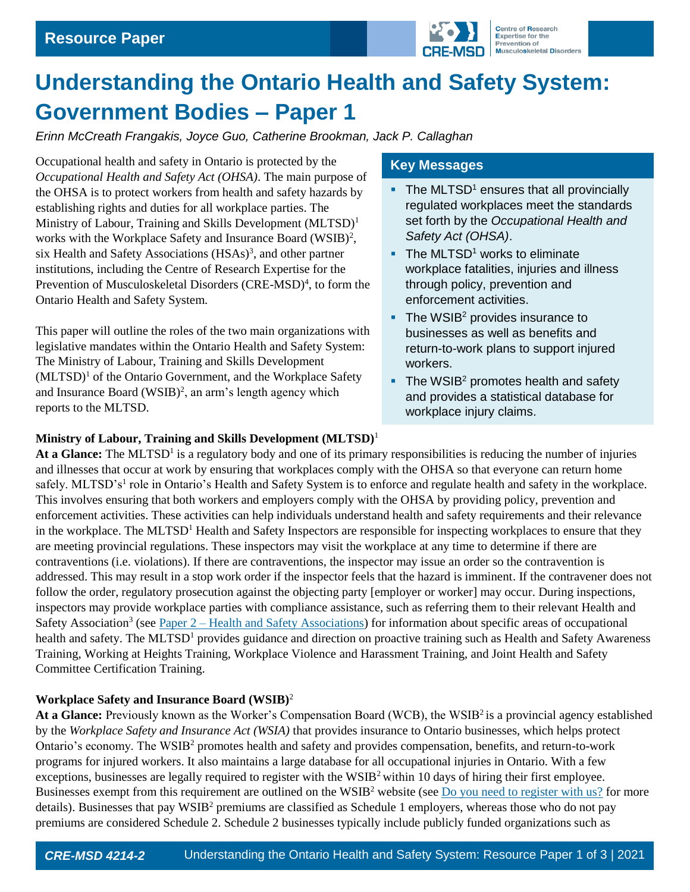

# **Understanding the Ontario Health and Safety System: Government Bodies – Paper 1**

*Erinn McCreath Frangakis, Joyce Guo, Catherine Brookman, Jack P. Callaghan*

Occupational health and safety in Ontario is protected by the *Occupational Health and Safety Act (OHSA)*. The main purpose of the OHSA is to protect workers from health and safety hazards by establishing rights and duties for all workplace parties. The Ministry of Labour, Training and Skills Development (MLTSD)<sup>1</sup> works with the Workplace Safety and Insurance Board (WSIB)<sup>2</sup>, six Health and Safety Associations  $(HSAs)^3$ , and other partner institutions, including the Centre of Research Expertise for the Prevention of Musculoskeletal Disorders (CRE-MSD)<sup>4</sup>, to form the Ontario Health and Safety System.

This paper will outline the roles of the two main organizations with legislative mandates within the Ontario Health and Safety System: The Ministry of Labour, Training and Skills Development  $(MLTSD)<sup>1</sup>$  of the Ontario Government, and the Workplace Safety and Insurance Board  $(WSIB)^2$ , an arm's length agency which reports to the MLTSD.

## **Key Messages**

- $\blacksquare$  The MLTSD<sup>1</sup> ensures that all provincially regulated workplaces meet the standards set forth by the *Occupational Health and Safety Act (OHSA)*.
- $\blacksquare$  The MLTSD<sup>1</sup> works to eliminate workplace fatalities, injuries and illness through policy, prevention and enforcement activities.
- $\blacksquare$  The WSIB<sup>2</sup> provides insurance to businesses as well as benefits and return-to-work plans to support injured workers.
- $\blacksquare$  The WSIB<sup>2</sup> promotes health and safety and provides a statistical database for workplace injury claims.

#### **Ministry of Labour, Training and Skills Development (MLTSD)**<sup>1</sup>

At a Glance: The MLTSD<sup>1</sup> is a regulatory body and one of its primary responsibilities is reducing the number of injuries and illnesses that occur at work by ensuring that workplaces comply with the OHSA so that everyone can return home safely. MLTSD's<sup>1</sup> role in Ontario's Health and Safety System is to enforce and regulate health and safety in the workplace. This involves ensuring that both workers and employers comply with the OHSA by providing policy, prevention and enforcement activities. These activities can help individuals understand health and safety requirements and their relevance in the workplace. The MLTSD<sup>1</sup> Health and Safety Inspectors are responsible for inspecting workplaces to ensure that they are meeting provincial regulations. These inspectors may visit the workplace at any time to determine if there are contraventions (i.e. violations). If there are contraventions, the inspector may issue an order so the contravention is addressed. This may result in a stop work order if the inspector feels that the hazard is imminent. If the contravener does not follow the order, regulatory prosecution against the objecting party [employer or worker] may occur. During inspections, inspectors may provide workplace parties with compliance assistance, such as referring them to their relevant Health and Safety Association<sup>3</sup> (see Paper 2 – [Health and Safety Associations\)](https://uwaterloo.ca/centre-of-research-expertise-for-the-prevention-of-musculoskeletal-disorders/resources/position-papers/understanding-ontario-health-and-safety-system-health-and) for information about specific areas of occupational health and safety. The MLTSD<sup>1</sup> provides guidance and direction on proactive training such as Health and Safety Awareness Training, Working at Heights Training, Workplace Violence and Harassment Training, and Joint Health and Safety Committee Certification Training.

#### **Workplace Safety and Insurance Board (WSIB)**<sup>2</sup>

At a Glance: Previously known as the Worker's Compensation Board (WCB), the WSIB<sup>2</sup> is a provincial agency established by the *Workplace Safety and Insurance Act (WSIA)* that provides insurance to Ontario businesses, which helps protect Ontario's economy. The WSIB<sup>2</sup> promotes health and safety and provides compensation, benefits, and return-to-work programs for injured workers. It also maintains a large database for all occupational injuries in Ontario. With a few exceptions, businesses are legally required to register with the  $WSIB<sup>2</sup>$  within 10 days of hiring their first employee. Businesses exempt from this requirement are outlined on the WSIB<sup>2</sup> website (see <u>Do you need to register with us?</u> for more details). Businesses that pay WSIB<sup>2</sup> premiums are classified as Schedule 1 employers, whereas those who do not pay premiums are considered Schedule 2. Schedule 2 businesses typically include publicly funded organizations such as